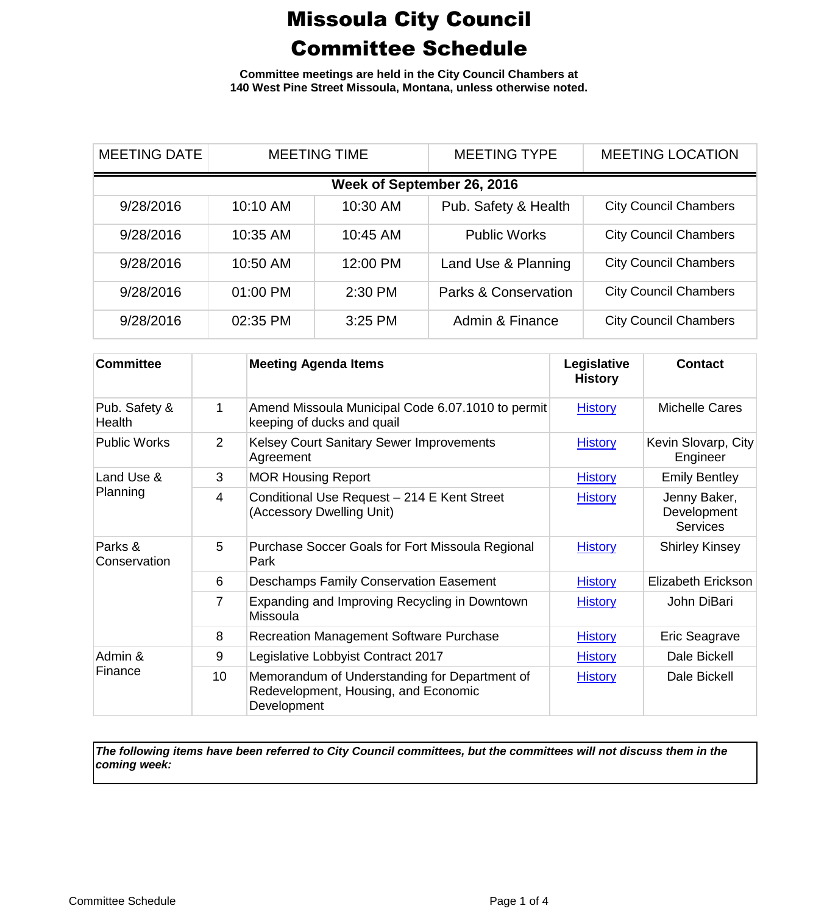**Committee meetings are held in the City Council Chambers at 140 West Pine Street Missoula, Montana, unless otherwise noted.**

| <b>MEETING DATE</b>        | <b>MEETING TIME</b> |          | <b>MEETING TYPE</b>             | <b>MEETING LOCATION</b>      |  |  |
|----------------------------|---------------------|----------|---------------------------------|------------------------------|--|--|
| Week of September 26, 2016 |                     |          |                                 |                              |  |  |
| 9/28/2016                  | 10:10 AM            | 10:30 AM | Pub. Safety & Health            | <b>City Council Chambers</b> |  |  |
| 9/28/2016                  | 10:35 AM            | 10:45 AM | <b>Public Works</b>             | <b>City Council Chambers</b> |  |  |
| 9/28/2016                  | 10:50 AM            | 12:00 PM | Land Use & Planning             | <b>City Council Chambers</b> |  |  |
| 9/28/2016                  | 01:00 PM            | 2:30 PM  | <b>Parks &amp; Conservation</b> | <b>City Council Chambers</b> |  |  |
| 9/28/2016                  | 02:35 PM            | 3:25 PM  | Admin & Finance                 | <b>City Council Chambers</b> |  |  |

| <b>Committee</b>        |                 | <b>Meeting Agenda Items</b>                                                                          | Legislative<br><b>History</b> | <b>Contact</b>                                 |
|-------------------------|-----------------|------------------------------------------------------------------------------------------------------|-------------------------------|------------------------------------------------|
| Pub. Safety &<br>Health | 1               | Amend Missoula Municipal Code 6.07.1010 to permit<br>keeping of ducks and quail                      | <b>History</b>                | Michelle Cares                                 |
| <b>Public Works</b>     | 2               | Kelsey Court Sanitary Sewer Improvements<br>Agreement                                                | <b>History</b>                | Kevin Slovarp, City<br>Engineer                |
| Land Use &<br>Planning  | 3               | <b>MOR Housing Report</b>                                                                            | <b>History</b>                | <b>Emily Bentley</b>                           |
|                         | 4               | Conditional Use Request - 214 E Kent Street<br>(Accessory Dwelling Unit)                             | <b>History</b>                | Jenny Baker,<br>Development<br><b>Services</b> |
| Parks &<br>Conservation | 5               | Purchase Soccer Goals for Fort Missoula Regional<br>Park                                             | <b>History</b>                | <b>Shirley Kinsey</b>                          |
|                         | 6               | <b>Deschamps Family Conservation Easement</b>                                                        | <b>History</b>                | Elizabeth Erickson                             |
|                         | 7               | Expanding and Improving Recycling in Downtown<br><b>Missoula</b>                                     | <b>History</b>                | John DiBari                                    |
|                         | 8               | <b>Recreation Management Software Purchase</b>                                                       | <b>History</b>                | Eric Seagrave                                  |
| Admin &<br>Finance      | 9               | Legislative Lobbyist Contract 2017                                                                   | <b>History</b>                | Dale Bickell                                   |
|                         | 10 <sup>°</sup> | Memorandum of Understanding for Department of<br>Redevelopment, Housing, and Economic<br>Development | <b>History</b>                | Dale Bickell                                   |

*The following items have been referred to City Council committees, but the committees will not discuss them in the coming week:*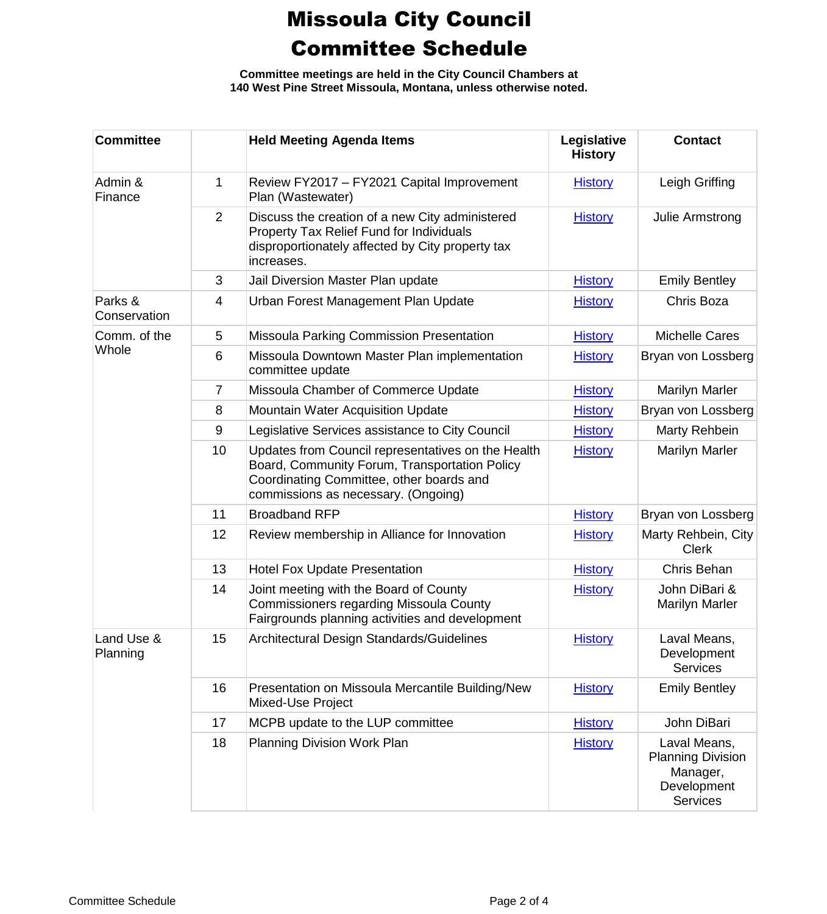**Committee meetings are held in the City Council Chambers at 140 West Pine Street Missoula, Montana, unless otherwise noted.**

| <b>Committee</b>        |                | <b>Held Meeting Agenda Items</b>                                                                                                                                                       | Legislative<br><b>History</b> | <b>Contact</b>                                                                         |
|-------------------------|----------------|----------------------------------------------------------------------------------------------------------------------------------------------------------------------------------------|-------------------------------|----------------------------------------------------------------------------------------|
| Admin &<br>Finance      | 1              | Review FY2017 - FY2021 Capital Improvement<br>Plan (Wastewater)                                                                                                                        | <b>History</b>                | Leigh Griffing                                                                         |
|                         | $\overline{2}$ | Discuss the creation of a new City administered<br>Property Tax Relief Fund for Individuals<br>disproportionately affected by City property tax<br>increases.                          | <b>History</b>                | Julie Armstrong                                                                        |
|                         | 3              | Jail Diversion Master Plan update                                                                                                                                                      | <b>History</b>                | <b>Emily Bentley</b>                                                                   |
| Parks &<br>Conservation | 4              | Urban Forest Management Plan Update                                                                                                                                                    | <b>History</b>                | Chris Boza                                                                             |
| Comm. of the            | 5              | Missoula Parking Commission Presentation                                                                                                                                               | <b>History</b>                | <b>Michelle Cares</b>                                                                  |
| Whole                   | 6              | Missoula Downtown Master Plan implementation<br>committee update                                                                                                                       | <b>History</b>                | Bryan von Lossberg                                                                     |
|                         | $\overline{7}$ | Missoula Chamber of Commerce Update                                                                                                                                                    | <b>History</b>                | <b>Marilyn Marler</b>                                                                  |
|                         | 8              | Mountain Water Acquisition Update                                                                                                                                                      | <b>History</b>                | Bryan von Lossberg                                                                     |
|                         | 9              | Legislative Services assistance to City Council                                                                                                                                        | <b>History</b>                | Marty Rehbein                                                                          |
|                         | 10             | Updates from Council representatives on the Health<br>Board, Community Forum, Transportation Policy<br>Coordinating Committee, other boards and<br>commissions as necessary. (Ongoing) | <b>History</b>                | <b>Marilyn Marler</b>                                                                  |
|                         | 11             | <b>Broadband RFP</b>                                                                                                                                                                   | <b>History</b>                | Bryan von Lossberg                                                                     |
|                         | 12             | Review membership in Alliance for Innovation                                                                                                                                           | <b>History</b>                | Marty Rehbein, City<br><b>Clerk</b>                                                    |
|                         | 13             | <b>Hotel Fox Update Presentation</b>                                                                                                                                                   | <b>History</b>                | Chris Behan                                                                            |
|                         | 14             | Joint meeting with the Board of County<br>Commissioners regarding Missoula County<br>Fairgrounds planning activities and development                                                   | <b>History</b>                | John DiBari &<br><b>Marilyn Marler</b>                                                 |
| Land Use &<br>Planning  | 15             | Architectural Design Standards/Guidelines                                                                                                                                              | <b>History</b>                | Laval Means,<br>Development<br><b>Services</b>                                         |
|                         | 16             | Presentation on Missoula Mercantile Building/New<br>Mixed-Use Project                                                                                                                  | <b>History</b>                | <b>Emily Bentley</b>                                                                   |
|                         | 17             | MCPB update to the LUP committee                                                                                                                                                       | <b>History</b>                | John DiBari                                                                            |
|                         | 18             | Planning Division Work Plan                                                                                                                                                            | <b>History</b>                | Laval Means,<br><b>Planning Division</b><br>Manager,<br>Development<br><b>Services</b> |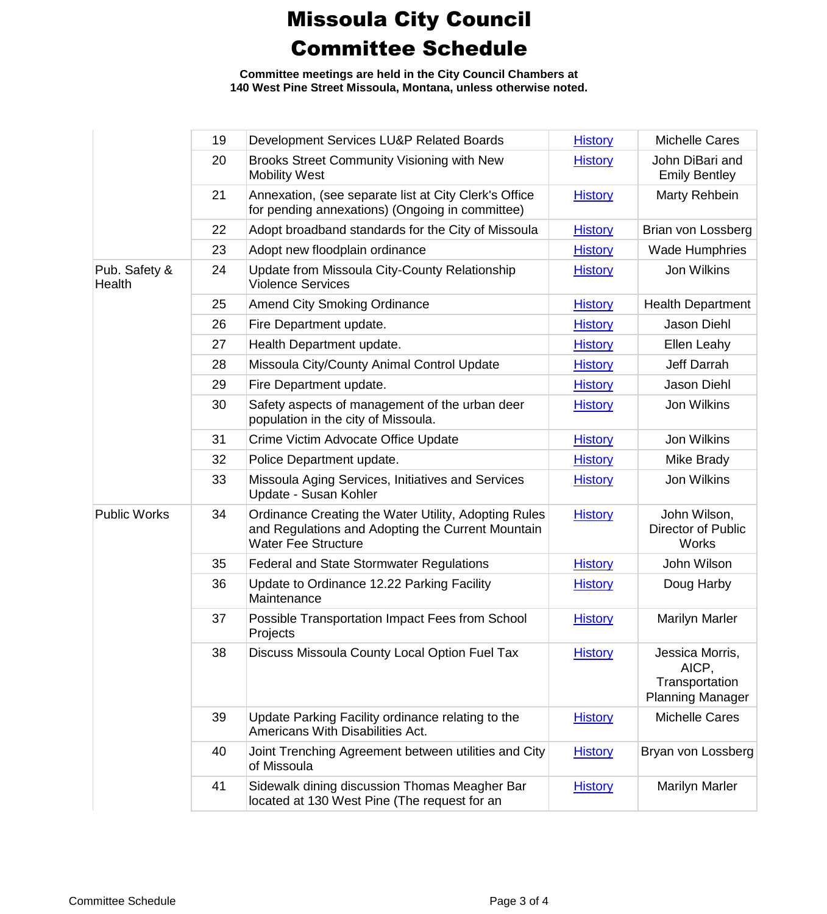**Committee meetings are held in the City Council Chambers at 140 West Pine Street Missoula, Montana, unless otherwise noted.**

|                         | 19 | Development Services LU&P Related Boards                                                                                                | <b>History</b> | <b>Michelle Cares</b>                                                 |
|-------------------------|----|-----------------------------------------------------------------------------------------------------------------------------------------|----------------|-----------------------------------------------------------------------|
|                         | 20 | Brooks Street Community Visioning with New<br><b>Mobility West</b>                                                                      | <b>History</b> | John DiBari and<br><b>Emily Bentley</b>                               |
|                         | 21 | Annexation, (see separate list at City Clerk's Office<br>for pending annexations) (Ongoing in committee)                                | <b>History</b> | Marty Rehbein                                                         |
|                         | 22 | Adopt broadband standards for the City of Missoula                                                                                      | <b>History</b> | Brian von Lossberg                                                    |
|                         | 23 | Adopt new floodplain ordinance                                                                                                          | <b>History</b> | <b>Wade Humphries</b>                                                 |
| Pub. Safety &<br>Health | 24 | Update from Missoula City-County Relationship<br><b>Violence Services</b>                                                               | <b>History</b> | Jon Wilkins                                                           |
|                         | 25 | <b>Amend City Smoking Ordinance</b>                                                                                                     | <b>History</b> | <b>Health Department</b>                                              |
|                         | 26 | Fire Department update.                                                                                                                 | <b>History</b> | <b>Jason Diehl</b>                                                    |
|                         | 27 | Health Department update.                                                                                                               | <b>History</b> | Ellen Leahy                                                           |
|                         | 28 | Missoula City/County Animal Control Update                                                                                              | <b>History</b> | Jeff Darrah                                                           |
|                         | 29 | Fire Department update.                                                                                                                 | <b>History</b> | <b>Jason Diehl</b>                                                    |
|                         | 30 | Safety aspects of management of the urban deer<br>population in the city of Missoula.                                                   | <b>History</b> | Jon Wilkins                                                           |
|                         | 31 | Crime Victim Advocate Office Update                                                                                                     | <b>History</b> | Jon Wilkins                                                           |
|                         | 32 | Police Department update.                                                                                                               | <b>History</b> | Mike Brady                                                            |
|                         | 33 | Missoula Aging Services, Initiatives and Services<br>Update - Susan Kohler                                                              | <b>History</b> | Jon Wilkins                                                           |
| <b>Public Works</b>     | 34 | Ordinance Creating the Water Utility, Adopting Rules<br>and Regulations and Adopting the Current Mountain<br><b>Water Fee Structure</b> | <b>History</b> | John Wilson,<br><b>Director of Public</b><br><b>Works</b>             |
|                         | 35 | <b>Federal and State Stormwater Regulations</b>                                                                                         | <b>History</b> | John Wilson                                                           |
|                         | 36 | Update to Ordinance 12.22 Parking Facility<br>Maintenance                                                                               | <b>History</b> | Doug Harby                                                            |
|                         | 37 | Possible Transportation Impact Fees from School<br>Projects                                                                             | <b>History</b> | <b>Marilyn Marler</b>                                                 |
|                         | 38 | Discuss Missoula County Local Option Fuel Tax                                                                                           | <b>History</b> | Jessica Morris,<br>AICP,<br>Transportation<br><b>Planning Manager</b> |
|                         | 39 | Update Parking Facility ordinance relating to the<br>Americans With Disabilities Act.                                                   | <b>History</b> | <b>Michelle Cares</b>                                                 |
|                         | 40 | Joint Trenching Agreement between utilities and City<br>of Missoula                                                                     | <b>History</b> | Bryan von Lossberg                                                    |
|                         | 41 | Sidewalk dining discussion Thomas Meagher Bar<br>located at 130 West Pine (The request for an                                           | <b>History</b> | <b>Marilyn Marler</b>                                                 |
|                         |    |                                                                                                                                         |                |                                                                       |